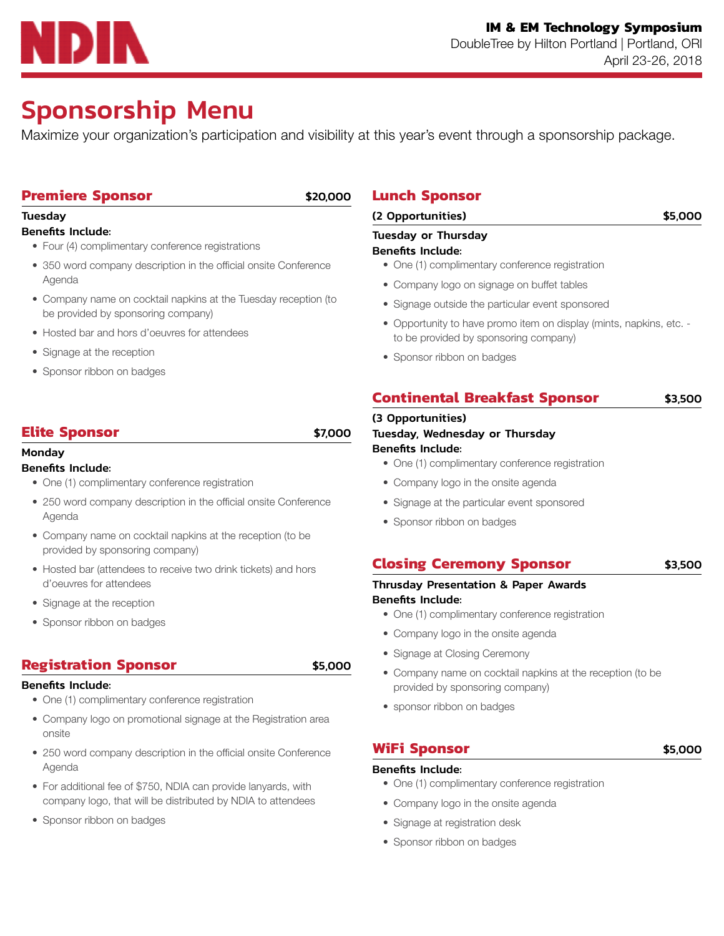# IDIN

# Sponsorship Menu

Maximize your organization's participation and visibility at this year's event through a sponsorship package.

## **Premiere Sponsor** \$20,000

## **Tuesday**

## Benefits Include:

- Four (4) complimentary conference registrations
- 350 word company description in the official onsite Conference Agenda
- Company name on cocktail napkins at the Tuesday reception (to be provided by sponsoring company)
- Hosted bar and hors d'oeuvres for attendees
- Signage at the reception
- Sponsor ribbon on badges

## **Elite Sponsor** \$7,000

## Monday

## Benefits Include:

- One (1) complimentary conference registration
- 250 word company description in the official onsite Conference Agenda
- Company name on cocktail napkins at the reception (to be provided by sponsoring company)
- Hosted bar (attendees to receive two drink tickets) and hors d'oeuvres for attendees
- Signage at the reception
- Sponsor ribbon on badges

## **Registration Sponsor** \$5,000

## Benefits Include:

- One (1) complimentary conference registration
- Company logo on promotional signage at the Registration area onsite
- 250 word company description in the official onsite Conference Agenda
- For additional fee of \$750, NDIA can provide lanyards, with company logo, that will be distributed by NDIA to attendees
- Sponsor ribbon on badges

## **Lunch Sponsor**

## (2 Opportunities) \$5,000

## Tuesday or Thursday

## Benefits Include:

- One (1) complimentary conference registration
- Company logo on signage on buffet tables
- Signage outside the particular event sponsored
- Opportunity to have promo item on display (mints, napkins, etc. to be provided by sponsoring company)
- Sponsor ribbon on badges

## **Continental Breakfast Sponsor** \$3,500

## (3 Opportunities)

## Tuesday, Wednesday or Thursday

## Benefits Include:

- One (1) complimentary conference registration
- Company logo in the onsite agenda
- Signage at the particular event sponsored
- Sponsor ribbon on badges

## **Closing Ceremony Sponsor 53,500**

### Thrusday Presentation & Paper Awards Benefits Include:

- One (1) complimentary conference registration
- Company logo in the onsite agenda
- Signage at Closing Ceremony
- Company name on cocktail napkins at the reception (to be provided by sponsoring company)
- sponsor ribbon on badges

## **WiFi Sponsor** \$5,000

## Benefits Include:

- One (1) complimentary conference registration
- Company logo in the onsite agenda
- Signage at registration desk
- Sponsor ribbon on badges
- 
- 
- 
- 
- 
-